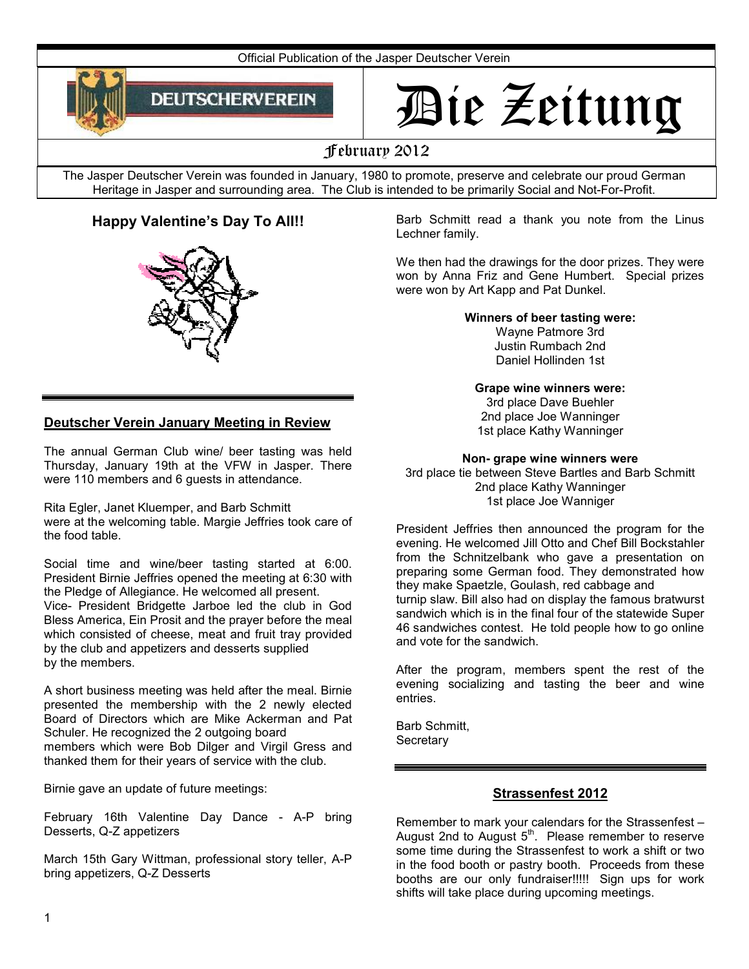

# Die Zeitung

# February 2012

The Jasper Deutscher Verein was founded in January, 1980 to promote, preserve and celebrate our proud German Heritage in Jasper and surrounding area. The Club is intended to be primarily Social and Not-For-Profit.

# **Happy Valentine's Day To All!!**



Barb Schmitt read a thank you note from the Linus Lechner family.

We then had the drawings for the door prizes. They were won by Anna Friz and Gene Humbert. Special prizes were won by Art Kapp and Pat Dunkel.

**Winners of beer tasting were:**

Wayne Patmore 3rd Justin Rumbach 2nd Daniel Hollinden 1st

#### **Grape wine winners were:**

3rd place Dave Buehler 2nd place Joe Wanninger 1st place Kathy Wanninger

**Non- grape wine winners were**

3rd place tie between Steve Bartles and Barb Schmitt 2nd place Kathy Wanninger 1st place Joe Wanniger

President Jeffries then announced the program for the evening. He welcomed Jill Otto and Chef Bill Bockstahler from the Schnitzelbank who gave a presentation on preparing some German food. They demonstrated how they make Spaetzle, Goulash, red cabbage and turnip slaw. Bill also had on display the famous bratwurst sandwich which is in the final four of the statewide Super 46 sandwiches contest. He told people how to go online and vote for the sandwich.

After the program, members spent the rest of the evening socializing and tasting the beer and wine entries.

Barb Schmitt, **Secretary** 

## **Strassenfest 2012**

Remember to mark your calendars for the Strassenfest – August 2nd to August  $5<sup>th</sup>$ . Please remember to reserve some time during the Strassenfest to work a shift or two in the food booth or pastry booth. Proceeds from these booths are our only fundraiser!!!!! Sign ups for work shifts will take place during upcoming meetings.

## **Deutscher Verein January Meeting in Review**

The annual German Club wine/ beer tasting was held Thursday, January 19th at the VFW in Jasper. There were 110 members and 6 guests in attendance.

Rita Egler, Janet Kluemper, and Barb Schmitt were at the welcoming table. Margie Jeffries took care of the food table.

Social time and wine/beer tasting started at 6:00. President Birnie Jeffries opened the meeting at 6:30 with the Pledge of Allegiance. He welcomed all present. Vice- President Bridgette Jarboe led the club in God Bless America, Ein Prosit and the prayer before the meal which consisted of cheese, meat and fruit tray provided by the club and appetizers and desserts supplied by the members.

A short business meeting was held after the meal. Birnie presented the membership with the 2 newly elected Board of Directors which are Mike Ackerman and Pat Schuler. He recognized the 2 outgoing board members which were Bob Dilger and Virgil Gress and thanked them for their years of service with the club.

Birnie gave an update of future meetings:

February 16th Valentine Day Dance - A-P bring Desserts, Q-Z appetizers

March 15th Gary Wittman, professional story teller, A-P bring appetizers, Q-Z Desserts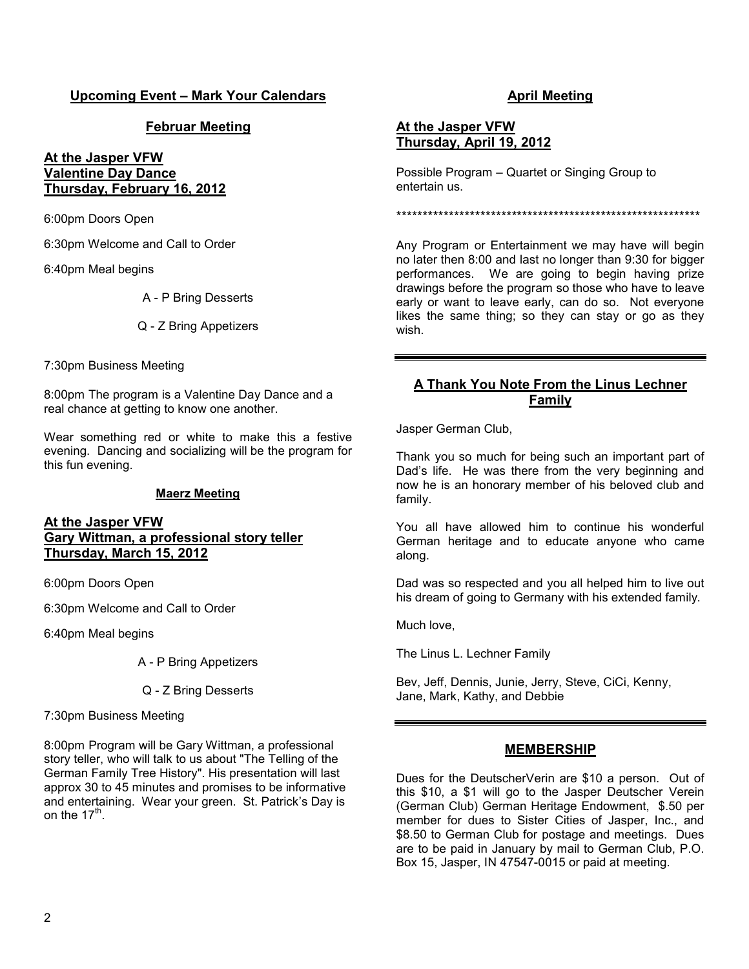## **Upcoming Event – Mark Your Calendars**

## **Februar Meeting**

#### **At the Jasper VFW Valentine Day Dance Thursday, February 16, 2012**

6:00pm Doors Open

6:30pm Welcome and Call to Order

6:40pm Meal begins

A - P Bring Desserts

Q - Z Bring Appetizers

7:30pm Business Meeting

8:00pm The program is a Valentine Day Dance and a real chance at getting to know one another.

Wear something red or white to make this a festive evening. Dancing and socializing will be the program for this fun evening.

#### **Maerz Meeting**

#### **At the Jasper VFW Gary Wittman, a professional story teller Thursday, March 15, 2012**

6:00pm Doors Open

6:30pm Welcome and Call to Order

6:40pm Meal begins

A - P Bring Appetizers

Q - Z Bring Desserts

7:30pm Business Meeting

8:00pm Program will be Gary Wittman, a professional story teller, who will talk to us about "The Telling of the German Family Tree History". His presentation will last approx 30 to 45 minutes and promises to be informative and entertaining. Wear your green. St. Patrick's Day is on the  $17<sup>th</sup>$ 

## **April Meeting**

#### **At the Jasper VFW Thursday, April 19, 2012**

Possible Program – Quartet or Singing Group to entertain us.

\*\*\*\*\*\*\*\*\*\*\*\*\*\*\*\*\*\*\*\*\*\*\*\*\*\*\*\*\*\*\*\*\*\*\*\*\*\*\*\*\*\*\*\*\*\*\*\*\*\*\*\*\*\*\*\*\*\*

Any Program or Entertainment we may have will begin no later then 8:00 and last no longer than 9:30 for bigger performances. We are going to begin having prize drawings before the program so those who have to leave early or want to leave early, can do so. Not everyone likes the same thing; so they can stay or go as they wish.

#### **A Thank You Note From the Linus Lechner Family**

Jasper German Club,

Thank you so much for being such an important part of Dad's life. He was there from the very beginning and now he is an honorary member of his beloved club and family.

You all have allowed him to continue his wonderful German heritage and to educate anyone who came along.

Dad was so respected and you all helped him to live out his dream of going to Germany with his extended family.

Much love,

The Linus L. Lechner Family

Bev, Jeff, Dennis, Junie, Jerry, Steve, CiCi, Kenny, Jane, Mark, Kathy, and Debbie

#### **MEMBERSHIP**

Dues for the DeutscherVerin are \$10 a person. Out of this \$10, a \$1 will go to the Jasper Deutscher Verein (German Club) German Heritage Endowment, \$.50 per member for dues to Sister Cities of Jasper, Inc., and \$8.50 to German Club for postage and meetings. Dues are to be paid in January by mail to German Club, P.O. Box 15, Jasper, IN 47547-0015 or paid at meeting.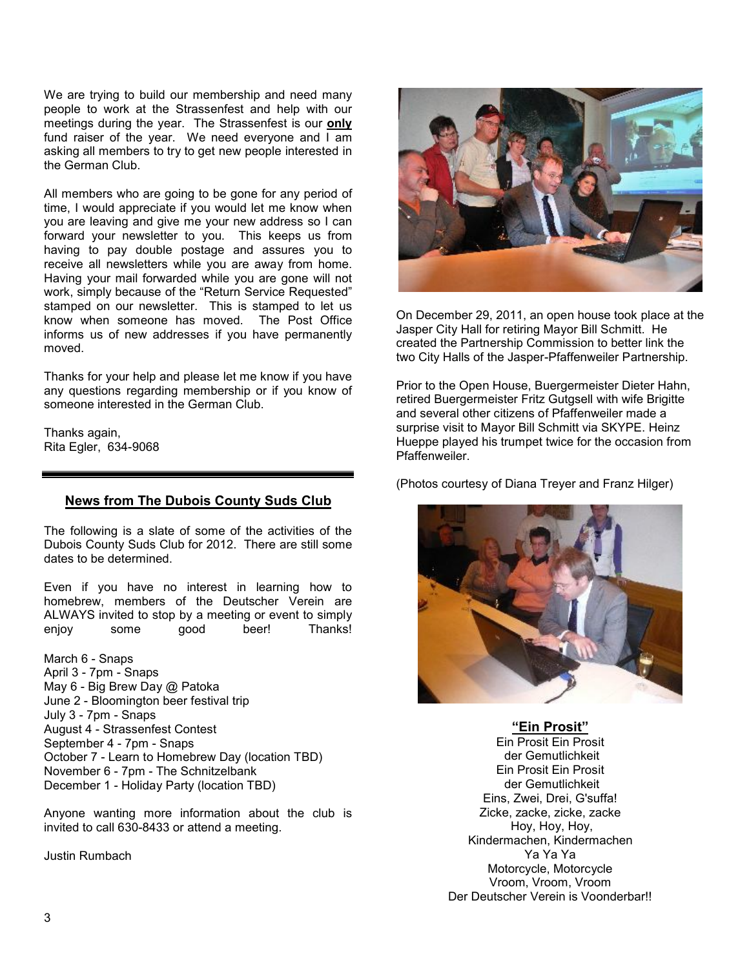We are trying to build our membership and need many people to work at the Strassenfest and help with our meetings during the year. The Strassenfest is our **only**  fund raiser of the year. We need everyone and  $\overline{I}$  am asking all members to try to get new people interested in the German Club.

All members who are going to be gone for any period of time, I would appreciate if you would let me know when you are leaving and give me your new address so I can forward your newsletter to you. This keeps us from having to pay double postage and assures you to receive all newsletters while you are away from home. Having your mail forwarded while you are gone will not work, simply because of the "Return Service Requested" stamped on our newsletter. This is stamped to let us know when someone has moved. The Post Office informs us of new addresses if you have permanently moved.

Thanks for your help and please let me know if you have any questions regarding membership or if you know of someone interested in the German Club.

Thanks again, Rita Egler, 634-9068

#### **News from The Dubois County Suds Club**

The following is a slate of some of the activities of the Dubois County Suds Club for 2012. There are still some dates to be determined.

Even if you have no interest in learning how to homebrew, members of the Deutscher Verein are ALWAYS invited to stop by a meeting or event to simply<br>eniov some qood beer! Thanks! eniov some good beer! Thanks!

March 6 - Snaps April 3 - 7pm - Snaps May 6 - Big Brew Day @ Patoka June 2 - Bloomington beer festival trip July 3 - 7pm - Snaps August 4 - Strassenfest Contest September 4 - 7pm - Snaps October 7 - Learn to Homebrew Day (location TBD) November 6 - 7pm - The Schnitzelbank December 1 - Holiday Party (location TBD)

Anyone wanting more information about the club is invited to call 630-8433 or attend a meeting.

Justin Rumbach



On December 29, 2011, an open house took place at the Jasper City Hall for retiring Mayor Bill Schmitt. He created the Partnership Commission to better link the two City Halls of the Jasper-Pfaffenweiler Partnership.

Prior to the Open House, Buergermeister Dieter Hahn, retired Buergermeister Fritz Gutgsell with wife Brigitte and several other citizens of Pfaffenweiler made a surprise visit to Mayor Bill Schmitt via SKYPE. Heinz Hueppe played his trumpet twice for the occasion from **Pfaffenweiler** 

(Photos courtesy of Diana Treyer and Franz Hilger)



**"Ein Prosit"**

Ein Prosit Ein Prosit der Gemutlichkeit Ein Prosit Ein Prosit der Gemutlichkeit Eins, Zwei, Drei, G'suffa! Zicke, zacke, zicke, zacke Hoy, Hoy, Hoy, Kindermachen, Kindermachen Ya Ya Ya Motorcycle, Motorcycle Vroom, Vroom, Vroom Der Deutscher Verein is Voonderbar!!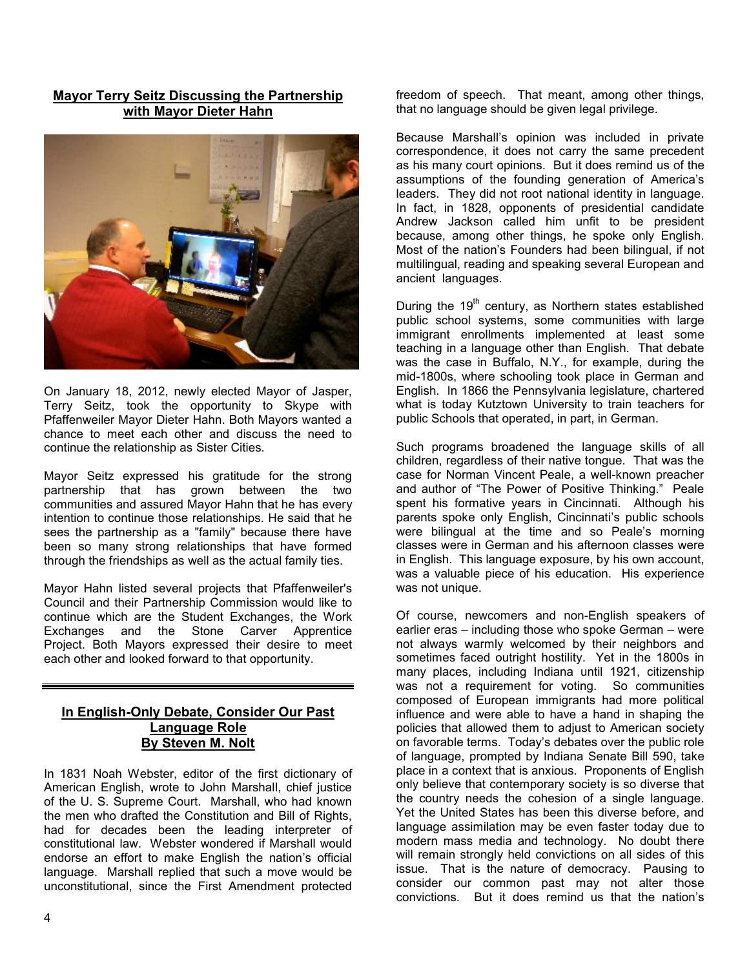## **Mayor Terry Seitz Discussing the Partnership with Mayor Dieter Hahn**



On January 18, 2012, newly elected Mayor of Jasper, Terry Seitz, took the opportunity to Skype with Pfaffenweiler Mayor Dieter Hahn. Both Mayors wanted a chance to meet each other and discuss the need to continue the relationship as Sister Cities.

Mayor Seitz expressed his gratitude for the strong partnership that has grown between the two communities and assured Mayor Hahn that he has every intention to continue those relationships. He said that he sees the partnership as a "family" because there have been so many strong relationships that have formed through the friendships as well as the actual family ties.

Mayor Hahn listed several projects that Pfaffenweiler's Council and their Partnership Commission would like to continue which are the Student Exchanges, the Work Exchanges and the Stone Carver Apprentice Project. Both Mayors expressed their desire to meet each other and looked forward to that opportunity.

#### **In English-Only Debate, Consider Our Past Language Role By Steven M. Nolt**

In 1831 Noah Webster, editor of the first dictionary of American English, wrote to John Marshall, chief justice of the U. S. Supreme Court. Marshall, who had known the men who drafted the Constitution and Bill of Rights, had for decades been the leading interpreter of constitutional law. Webster wondered if Marshall would endorse an effort to make English the nation's official language. Marshall replied that such a move would be unconstitutional, since the First Amendment protected freedom of speech. That meant, among other things, that no language should be given legal privilege.

Because Marshall's opinion was included in private correspondence, it does not carry the same precedent as his many court opinions. But it does remind us of the assumptions of the founding generation of America's leaders. They did not root national identity in language. In fact, in 1828, opponents of presidential candidate Andrew Jackson called him unfit to be president because, among other things, he spoke only English. Most of the nation's Founders had been bilingual, if not multilingual, reading and speaking several European and ancient languages.

During the  $19<sup>th</sup>$  century, as Northern states established public school systems, some communities with large immigrant enrollments implemented at least some teaching in a language other than English. That debate was the case in Buffalo, N.Y., for example, during the mid-1800s, where schooling took place in German and English. In 1866 the Pennsylvania legislature, chartered what is today Kutztown University to train teachers for public Schools that operated, in part, in German.

Such programs broadened the language skills of all children, regardless of their native tongue. That was the case for Norman Vincent Peale, a well-known preacher and author of "The Power of Positive Thinking." Peale spent his formative years in Cincinnati. Although his parents spoke only English, Cincinnati's public schools were bilingual at the time and so Peale's morning classes were in German and his afternoon classes were in English. This language exposure, by his own account, was a valuable piece of his education. His experience was not unique.

Of course, newcomers and non-English speakers of earlier eras – including those who spoke German – were not always warmly welcomed by their neighbors and sometimes faced outright hostility. Yet in the 1800s in many places, including Indiana until 1921, citizenship was not a requirement for voting. So communities composed of European immigrants had more political influence and were able to have a hand in shaping the policies that allowed them to adjust to American society on favorable terms. Today's debates over the public role of language, prompted by Indiana Senate Bill 590, take place in a context that is anxious. Proponents of English only believe that contemporary society is so diverse that the country needs the cohesion of a single language. Yet the United States has been this diverse before, and language assimilation may be even faster today due to modern mass media and technology. No doubt there will remain strongly held convictions on all sides of this issue. That is the nature of democracy. Pausing to consider our common past may not alter those convictions. But it does remind us that the nation's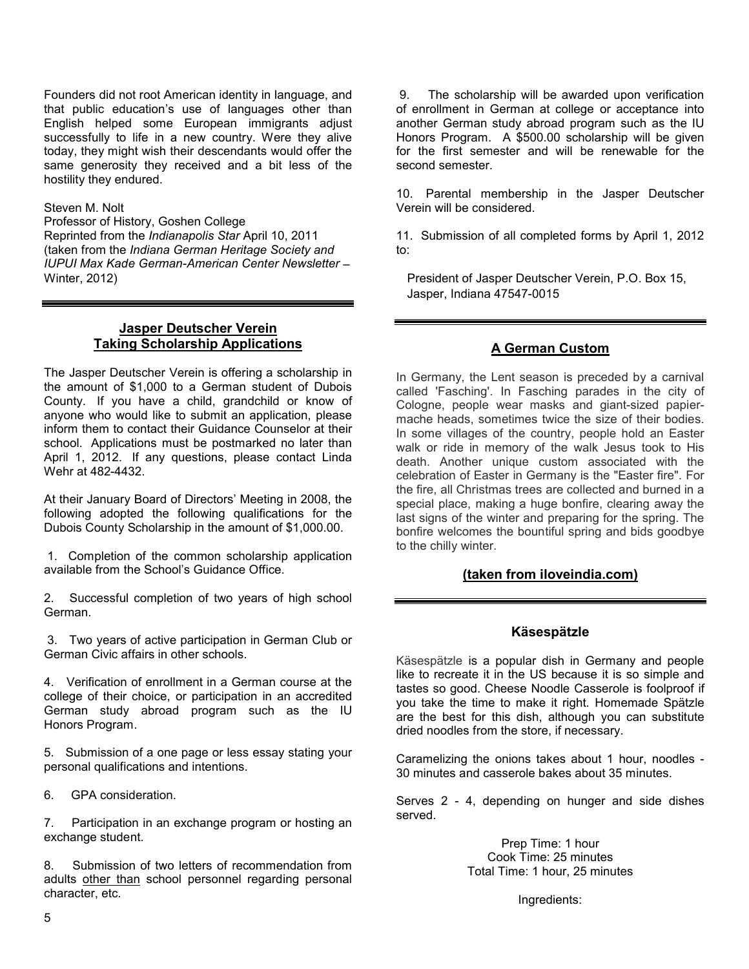Founders did not root American identity in language, and that public education's use of languages other than English helped some European immigrants adjust successfully to life in a new country. Were they alive today, they might wish their descendants would offer the same generosity they received and a bit less of the hostility they endured.

#### Steven M. Nolt

Professor of History, Goshen College Reprinted from the *Indianapolis Star* April 10, 2011 (taken from the *Indiana German Heritage Society and IUPUI Max Kade German-American Center Newsletter* – Winter, 2012)

#### **Jasper Deutscher Verein Taking Scholarship Applications**

The Jasper Deutscher Verein is offering a scholarship in the amount of \$1,000 to a German student of Dubois County. If you have a child, grandchild or know of anyone who would like to submit an application, please inform them to contact their Guidance Counselor at their school. Applications must be postmarked no later than April 1, 2012. If any questions, please contact Linda Wehr at 482-4432.

At their January Board of Directors' Meeting in 2008, the following adopted the following qualifications for the Dubois County Scholarship in the amount of \$1,000.00.

1. Completion of the common scholarship application available from the School's Guidance Office.

2. Successful completion of two years of high school German.

 3. Two years of active participation in German Club or German Civic affairs in other schools.

4. Verification of enrollment in a German course at the college of their choice, or participation in an accredited German study abroad program such as the IU Honors Program.

5. Submission of a one page or less essay stating your personal qualifications and intentions.

6. GPA consideration.

7. Participation in an exchange program or hosting an exchange student.

8. Submission of two letters of recommendation from adults other than school personnel regarding personal character, etc.

9. The scholarship will be awarded upon verification of enrollment in German at college or acceptance into another German study abroad program such as the IU Honors Program. A \$500.00 scholarship will be given for the first semester and will be renewable for the second semester.

10. Parental membership in the Jasper Deutscher Verein will be considered.

11. Submission of all completed forms by April 1, 2012 to:

President of Jasper Deutscher Verein, P.O. Box 15, Jasper, Indiana 47547-0015

#### **A German Custom**

In Germany, the Lent season is preceded by a carnival called 'Fasching'. In Fasching parades in the city of Cologne, people wear masks and giant-sized papiermache heads, sometimes twice the size of their bodies. In some villages of the country, people hold an Easter walk or ride in memory of the walk Jesus took to His death. Another unique custom associated with the celebration of Easter in Germany is the "Easter fire". For the fire, all Christmas trees are collected and burned in a special place, making a huge bonfire, clearing away the last signs of the winter and preparing for the spring. The bonfire welcomes the bountiful spring and bids goodbye to the chilly winter.

#### **(taken from iloveindia.com)**

#### **Käsespätzle**

Käsespätzle is a popular dish in Germany and people like to recreate it in the US because it is so simple and tastes so good. Cheese Noodle Casserole is foolproof if you take the time to make it right. Homemade Spätzle are the best for this dish, although you can substitute dried noodles from the store, if necessary.

Caramelizing the onions takes about 1 hour, noodles - 30 minutes and casserole bakes about 35 minutes.

Serves 2 - 4, depending on hunger and side dishes served.

> Prep Time: 1 hour Cook Time: 25 minutes Total Time: 1 hour, 25 minutes

> > Ingredients: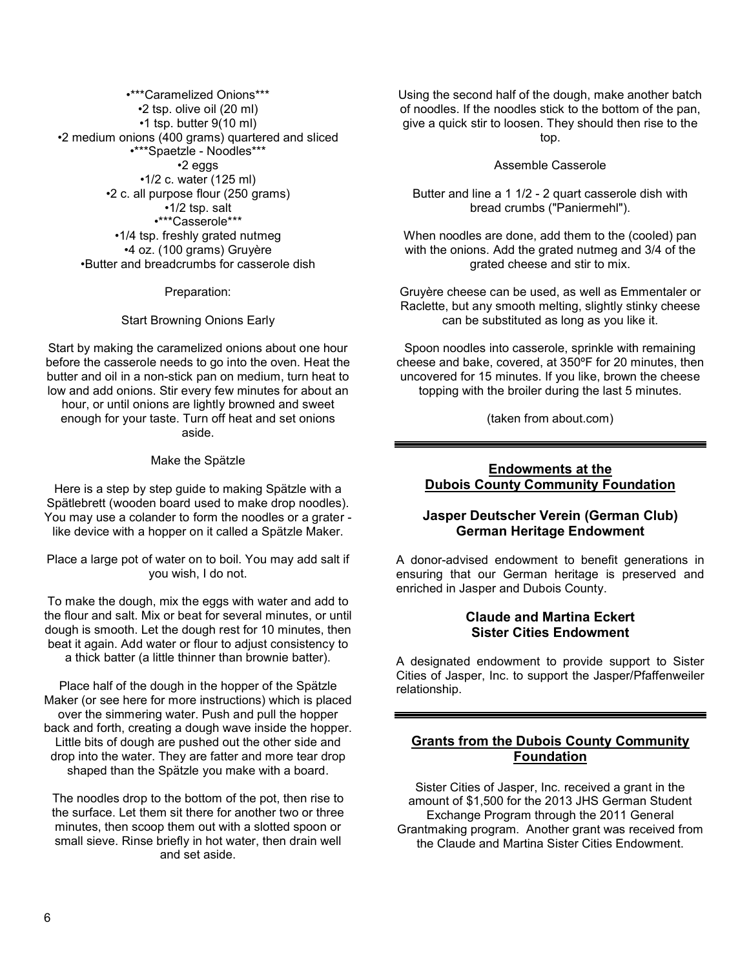•\*\*\*Caramelized Onions\*\*\* •2 tsp. olive oil (20 ml) •1 tsp. butter 9(10 ml) •2 medium onions (400 grams) quartered and sliced •\*\*\*Spaetzle - Noodles\*\*\* •2 eggs •1/2 c. water (125 ml) •2 c. all purpose flour (250 grams) •1/2 tsp. salt •\*\*\*Casserole\*\*\* •1/4 tsp. freshly grated nutmeg •4 oz. (100 grams) Gruyère •Butter and breadcrumbs for casserole dish

Preparation:

Start Browning Onions Early

Start by making the caramelized onions about one hour before the casserole needs to go into the oven. Heat the butter and oil in a non-stick pan on medium, turn heat to low and add onions. Stir every few minutes for about an hour, or until onions are lightly browned and sweet enough for your taste. Turn off heat and set onions aside.

Make the Spätzle

Here is a step by step guide to making Spätzle with a Spätlebrett (wooden board used to make drop noodles). You may use a colander to form the noodles or a grater like device with a hopper on it called a Spätzle Maker.

Place a large pot of water on to boil. You may add salt if you wish, I do not.

To make the dough, mix the eggs with water and add to the flour and salt. Mix or beat for several minutes, or until dough is smooth. Let the dough rest for 10 minutes, then beat it again. Add water or flour to adjust consistency to a thick batter (a little thinner than brownie batter).

Place half of the dough in the hopper of the Spätzle Maker (or see here for more instructions) which is placed over the simmering water. Push and pull the hopper back and forth, creating a dough wave inside the hopper. Little bits of dough are pushed out the other side and drop into the water. They are fatter and more tear drop shaped than the Spätzle you make with a board.

The noodles drop to the bottom of the pot, then rise to the surface. Let them sit there for another two or three minutes, then scoop them out with a slotted spoon or small sieve. Rinse briefly in hot water, then drain well and set aside.

Using the second half of the dough, make another batch of noodles. If the noodles stick to the bottom of the pan, give a quick stir to loosen. They should then rise to the top.

Assemble Casserole

Butter and line a 1 1/2 - 2 quart casserole dish with bread crumbs ("Paniermehl").

When noodles are done, add them to the (cooled) pan with the onions. Add the grated nutmeg and 3/4 of the grated cheese and stir to mix.

Gruyère cheese can be used, as well as Emmentaler or Raclette, but any smooth melting, slightly stinky cheese can be substituted as long as you like it.

Spoon noodles into casserole, sprinkle with remaining cheese and bake, covered, at 350ºF for 20 minutes, then uncovered for 15 minutes. If you like, brown the cheese topping with the broiler during the last 5 minutes.

(taken from about.com)

#### **Endowments at the Dubois County Community Foundation**

#### **Jasper Deutscher Verein (German Club) German Heritage Endowment**

A donor-advised endowment to benefit generations in ensuring that our German heritage is preserved and enriched in Jasper and Dubois County.

#### **Claude and Martina Eckert Sister Cities Endowment**

A designated endowment to provide support to Sister Cities of Jasper, Inc. to support the Jasper/Pfaffenweiler relationship.

## **Grants from the Dubois County Community Foundation**

Sister Cities of Jasper, Inc. received a grant in the amount of \$1,500 for the 2013 JHS German Student Exchange Program through the 2011 General Grantmaking program. Another grant was received from the Claude and Martina Sister Cities Endowment.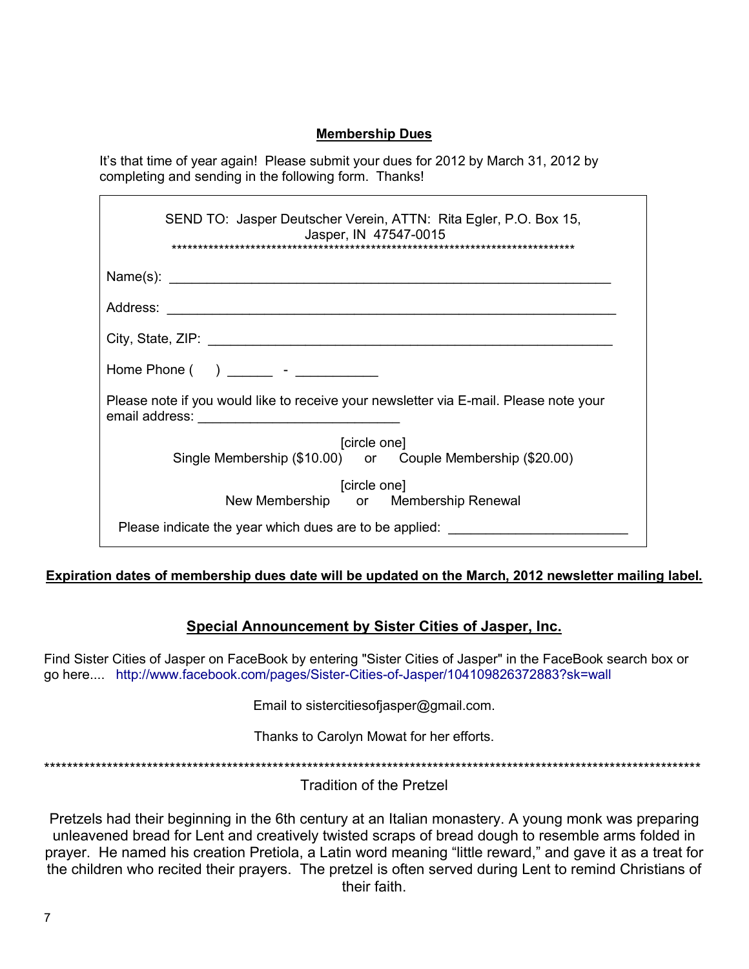## **Membership Dues**

It's that time of year again! Please submit your dues for 2012 by March 31, 2012 by completing and sending in the following form. Thanks!

| SEND TO: Jasper Deutscher Verein, ATTN: Rita Egler, P.O. Box 15,<br>Jasper, IN 47547-0015                      |
|----------------------------------------------------------------------------------------------------------------|
|                                                                                                                |
|                                                                                                                |
|                                                                                                                |
| Home Phone ( ) and the set of the set of the set of the set of the set of the set of the set of the set of the |
| Please note if you would like to receive your newsletter via E-mail. Please note your                          |
| [circle one]<br>Single Membership (\$10.00) or Couple Membership (\$20.00)                                     |
| [circle one]<br>New Membership or Membership Renewal                                                           |
| Please indicate the year which dues are to be applied:                                                         |

# **Expiration dates of membership dues date will be updated on the March, 2012 newsletter mailing label.**

# **Special Announcement by Sister Cities of Jasper, Inc.**

Find Sister Cities of Jasper on FaceBook by entering "Sister Cities of Jasper" in the FaceBook search box or go here.... http://www.facebook.com/pages/Sister-Cities-of-Jasper/104109826372883?sk=wall

Email to sistercitiesofjasper@gmail.com.

Thanks to Carolyn Mowat for her efforts.

\*\*\*\*\*\*\*\*\*\*\*\*\*\*\*\*\*\*\*\*\*\*\*\*\*\*\*\*\*\*\*\*\*\*\*\*\*\*\*\*\*\*\*\*\*\*\*\*\*\*\*\*\*\*\*\*\*\*\*\*\*\*\*\*\*\*\*\*\*\*\*\*\*\*\*\*\*\*\*\*\*\*\*\*\*\*\*\*\*\*\*\*\*\*\*\*\*\*\*\*\*\*\*\*\*\*\*\*\*\*\*\*\*\*\*

Tradition of the Pretzel

Pretzels had their beginning in the 6th century at an Italian monastery. A young monk was preparing unleavened bread for Lent and creatively twisted scraps of bread dough to resemble arms folded in prayer. He named his creation Pretiola, a Latin word meaning "little reward," and gave it as a treat for the children who recited their prayers. The pretzel is often served during Lent to remind Christians of their faith.